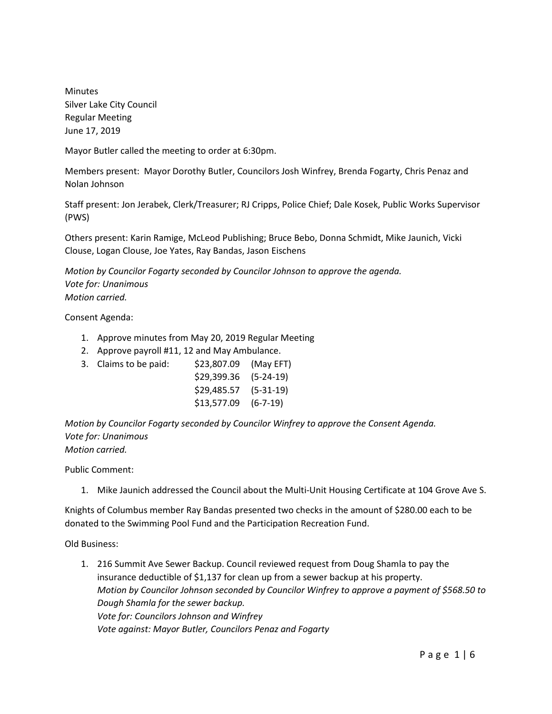**Minutes** Silver Lake City Council Regular Meeting June 17, 2019

Mayor Butler called the meeting to order at 6:30pm.

Members present: Mayor Dorothy Butler, Councilors Josh Winfrey, Brenda Fogarty, Chris Penaz and Nolan Johnson

Staff present: Jon Jerabek, Clerk/Treasurer; RJ Cripps, Police Chief; Dale Kosek, Public Works Supervisor (PWS)

Others present: Karin Ramige, McLeod Publishing; Bruce Bebo, Donna Schmidt, Mike Jaunich, Vicki Clouse, Logan Clouse, Joe Yates, Ray Bandas, Jason Eischens

*Motion by Councilor Fogarty seconded by Councilor Johnson to approve the agenda. Vote for: Unanimous Motion carried.*

Consent Agenda:

- 1. Approve minutes from May 20, 2019 Regular Meeting
- 2. Approve payroll #11, 12 and May Ambulance.
- 3. Claims to be paid: \$23,807.09 (May EFT)
	- \$29,399.36 (5-24-19) \$29,485.57 (5-31-19) \$13,577.09 (6-7-19)

*Motion by Councilor Fogarty seconded by Councilor Winfrey to approve the Consent Agenda. Vote for: Unanimous Motion carried.*

Public Comment:

1. Mike Jaunich addressed the Council about the Multi-Unit Housing Certificate at 104 Grove Ave S.

Knights of Columbus member Ray Bandas presented two checks in the amount of \$280.00 each to be donated to the Swimming Pool Fund and the Participation Recreation Fund.

Old Business:

1. 216 Summit Ave Sewer Backup. Council reviewed request from Doug Shamla to pay the insurance deductible of \$1,137 for clean up from a sewer backup at his property. *Motion by Councilor Johnson seconded by Councilor Winfrey to approve a payment of \$568.50 to Dough Shamla for the sewer backup. Vote for: Councilors Johnson and Winfrey Vote against: Mayor Butler, Councilors Penaz and Fogarty*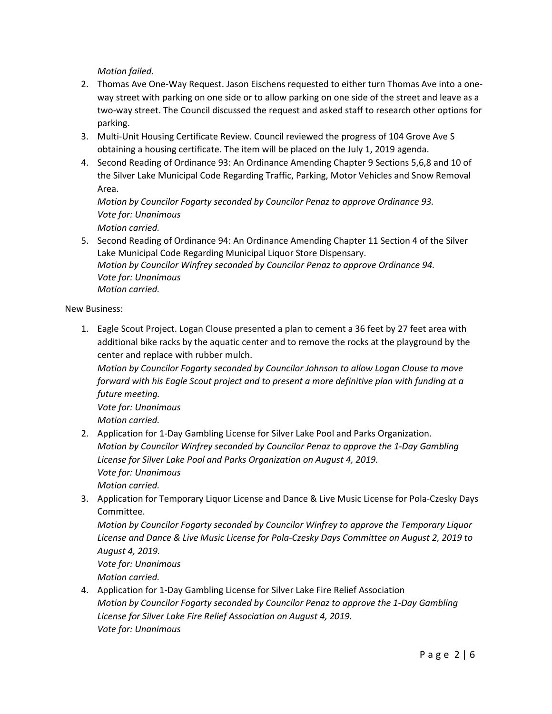*Motion failed.*

- 2. Thomas Ave One-Way Request. Jason Eischens requested to either turn Thomas Ave into a oneway street with parking on one side or to allow parking on one side of the street and leave as a two-way street. The Council discussed the request and asked staff to research other options for parking.
- 3. Multi-Unit Housing Certificate Review. Council reviewed the progress of 104 Grove Ave S obtaining a housing certificate. The item will be placed on the July 1, 2019 agenda.
- 4. Second Reading of Ordinance 93: An Ordinance Amending Chapter 9 Sections 5,6,8 and 10 of the Silver Lake Municipal Code Regarding Traffic, Parking, Motor Vehicles and Snow Removal Area.

*Motion by Councilor Fogarty seconded by Councilor Penaz to approve Ordinance 93. Vote for: Unanimous*

*Motion carried.*

5. Second Reading of Ordinance 94: An Ordinance Amending Chapter 11 Section 4 of the Silver Lake Municipal Code Regarding Municipal Liquor Store Dispensary. *Motion by Councilor Winfrey seconded by Councilor Penaz to approve Ordinance 94. Vote for: Unanimous Motion carried.* 

New Business:

1. Eagle Scout Project. Logan Clouse presented a plan to cement a 36 feet by 27 feet area with additional bike racks by the aquatic center and to remove the rocks at the playground by the center and replace with rubber mulch.

*Motion by Councilor Fogarty seconded by Councilor Johnson to allow Logan Clouse to move forward with his Eagle Scout project and to present a more definitive plan with funding at a future meeting.* 

*Vote for: Unanimous Motion carried.*

- 2. Application for 1-Day Gambling License for Silver Lake Pool and Parks Organization. *Motion by Councilor Winfrey seconded by Councilor Penaz to approve the 1-Day Gambling License for Silver Lake Pool and Parks Organization on August 4, 2019. Vote for: Unanimous Motion carried.*
- 3. Application for Temporary Liquor License and Dance & Live Music License for Pola-Czesky Days Committee.

*Motion by Councilor Fogarty seconded by Councilor Winfrey to approve the Temporary Liquor License and Dance & Live Music License for Pola-Czesky Days Committee on August 2, 2019 to August 4, 2019. Vote for: Unanimous Motion carried.*

4. Application for 1-Day Gambling License for Silver Lake Fire Relief Association *Motion by Councilor Fogarty seconded by Councilor Penaz to approve the 1-Day Gambling License for Silver Lake Fire Relief Association on August 4, 2019. Vote for: Unanimous*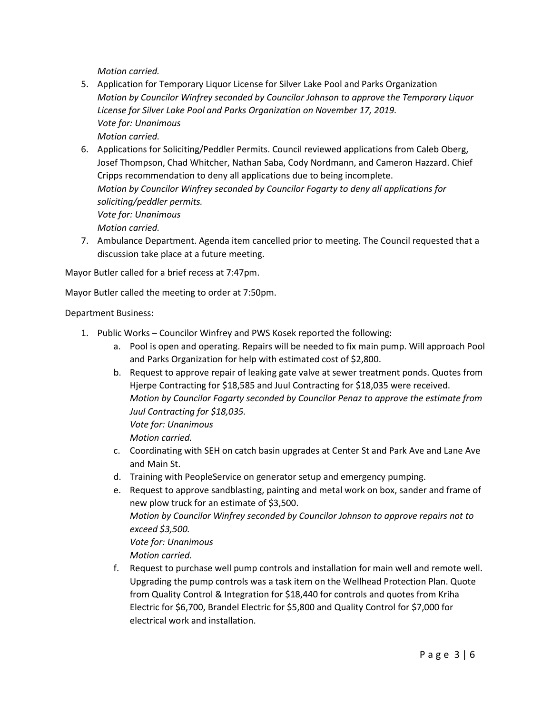*Motion carried.*

- 5. Application for Temporary Liquor License for Silver Lake Pool and Parks Organization *Motion by Councilor Winfrey seconded by Councilor Johnson to approve the Temporary Liquor License for Silver Lake Pool and Parks Organization on November 17, 2019. Vote for: Unanimous Motion carried.*
- 6. Applications for Soliciting/Peddler Permits. Council reviewed applications from Caleb Oberg, Josef Thompson, Chad Whitcher, Nathan Saba, Cody Nordmann, and Cameron Hazzard. Chief Cripps recommendation to deny all applications due to being incomplete. *Motion by Councilor Winfrey seconded by Councilor Fogarty to deny all applications for soliciting/peddler permits. Vote for: Unanimous Motion carried.*
- 7. Ambulance Department. Agenda item cancelled prior to meeting. The Council requested that a discussion take place at a future meeting.

Mayor Butler called for a brief recess at 7:47pm.

Mayor Butler called the meeting to order at 7:50pm.

Department Business:

- 1. Public Works Councilor Winfrey and PWS Kosek reported the following:
	- a. Pool is open and operating. Repairs will be needed to fix main pump. Will approach Pool and Parks Organization for help with estimated cost of \$2,800.
	- b. Request to approve repair of leaking gate valve at sewer treatment ponds. Quotes from Hjerpe Contracting for \$18,585 and Juul Contracting for \$18,035 were received. *Motion by Councilor Fogarty seconded by Councilor Penaz to approve the estimate from Juul Contracting for \$18,035. Vote for: Unanimous Motion carried.*
	- c. Coordinating with SEH on catch basin upgrades at Center St and Park Ave and Lane Ave and Main St.
	- d. Training with PeopleService on generator setup and emergency pumping.
	- e. Request to approve sandblasting, painting and metal work on box, sander and frame of new plow truck for an estimate of \$3,500. *Motion by Councilor Winfrey seconded by Councilor Johnson to approve repairs not to exceed \$3,500. Vote for: Unanimous Motion carried.*
	- f. Request to purchase well pump controls and installation for main well and remote well. Upgrading the pump controls was a task item on the Wellhead Protection Plan. Quote from Quality Control & Integration for \$18,440 for controls and quotes from Kriha Electric for \$6,700, Brandel Electric for \$5,800 and Quality Control for \$7,000 for electrical work and installation.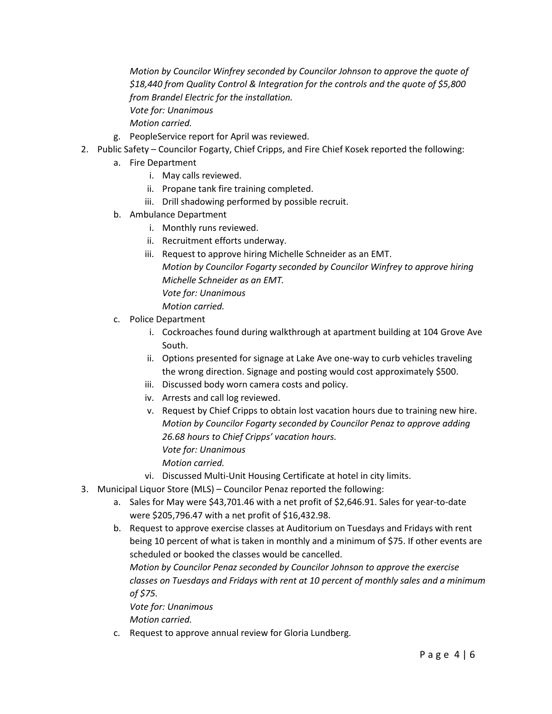*Motion by Councilor Winfrey seconded by Councilor Johnson to approve the quote of \$18,440 from Quality Control & Integration for the controls and the quote of \$5,800 from Brandel Electric for the installation.* 

*Vote for: Unanimous*

*Motion carried.*

- g. PeopleService report for April was reviewed.
- 2. Public Safety Councilor Fogarty, Chief Cripps, and Fire Chief Kosek reported the following:
	- a. Fire Department
		- i. May calls reviewed.
		- ii. Propane tank fire training completed.
		- iii. Drill shadowing performed by possible recruit.
	- b. Ambulance Department
		- i. Monthly runs reviewed.
		- ii. Recruitment efforts underway.
		- iii. Request to approve hiring Michelle Schneider as an EMT.

*Motion by Councilor Fogarty seconded by Councilor Winfrey to approve hiring Michelle Schneider as an EMT. Vote for: Unanimous Motion carried.*

- c. Police Department
	- i. Cockroaches found during walkthrough at apartment building at 104 Grove Ave South.
	- ii. Options presented for signage at Lake Ave one-way to curb vehicles traveling the wrong direction. Signage and posting would cost approximately \$500.
	- iii. Discussed body worn camera costs and policy.
	- iv. Arrests and call log reviewed.
	- v. Request by Chief Cripps to obtain lost vacation hours due to training new hire. *Motion by Councilor Fogarty seconded by Councilor Penaz to approve adding 26.68 hours to Chief Cripps' vacation hours. Vote for: Unanimous Motion carried.*
	- vi. Discussed Multi-Unit Housing Certificate at hotel in city limits.
- 3. Municipal Liquor Store (MLS) Councilor Penaz reported the following:
	- a. Sales for May were \$43,701.46 with a net profit of \$2,646.91. Sales for year-to-date were \$205,796.47 with a net profit of \$16,432.98.
	- b. Request to approve exercise classes at Auditorium on Tuesdays and Fridays with rent being 10 percent of what is taken in monthly and a minimum of \$75. If other events are scheduled or booked the classes would be cancelled.

*Motion by Councilor Penaz seconded by Councilor Johnson to approve the exercise classes on Tuesdays and Fridays with rent at 10 percent of monthly sales and a minimum of \$75.* 

*Vote for: Unanimous Motion carried.*

c. Request to approve annual review for Gloria Lundberg.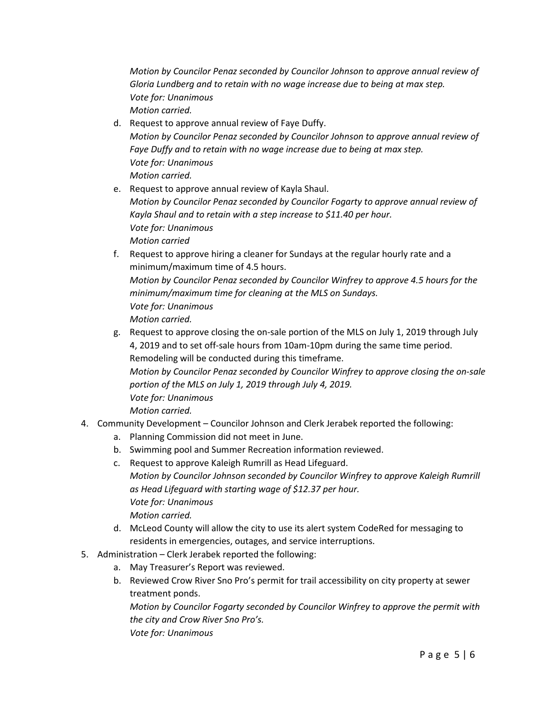*Motion by Councilor Penaz seconded by Councilor Johnson to approve annual review of Gloria Lundberg and to retain with no wage increase due to being at max step. Vote for: Unanimous Motion carried.*

- d. Request to approve annual review of Faye Duffy. *Motion by Councilor Penaz seconded by Councilor Johnson to approve annual review of Faye Duffy and to retain with no wage increase due to being at max step. Vote for: Unanimous Motion carried.*
- e. Request to approve annual review of Kayla Shaul. *Motion by Councilor Penaz seconded by Councilor Fogarty to approve annual review of Kayla Shaul and to retain with a step increase to \$11.40 per hour. Vote for: Unanimous Motion carried*
- f. Request to approve hiring a cleaner for Sundays at the regular hourly rate and a minimum/maximum time of 4.5 hours. *Motion by Councilor Penaz seconded by Councilor Winfrey to approve 4.5 hours for the minimum/maximum time for cleaning at the MLS on Sundays. Vote for: Unanimous Motion carried.*
- g. Request to approve closing the on-sale portion of the MLS on July 1, 2019 through July 4, 2019 and to set off-sale hours from 10am-10pm during the same time period. Remodeling will be conducted during this timeframe. *Motion by Councilor Penaz seconded by Councilor Winfrey to approve closing the on-sale portion of the MLS on July 1, 2019 through July 4, 2019. Vote for: Unanimous Motion carried.*
- 4. Community Development Councilor Johnson and Clerk Jerabek reported the following:
	- a. Planning Commission did not meet in June.
	- b. Swimming pool and Summer Recreation information reviewed.
	- c. Request to approve Kaleigh Rumrill as Head Lifeguard. *Motion by Councilor Johnson seconded by Councilor Winfrey to approve Kaleigh Rumrill as Head Lifeguard with starting wage of \$12.37 per hour. Vote for: Unanimous Motion carried.*
	- d. McLeod County will allow the city to use its alert system CodeRed for messaging to residents in emergencies, outages, and service interruptions.
- 5. Administration Clerk Jerabek reported the following:
	- a. May Treasurer's Report was reviewed.
	- b. Reviewed Crow River Sno Pro's permit for trail accessibility on city property at sewer treatment ponds.

*Motion by Councilor Fogarty seconded by Councilor Winfrey to approve the permit with the city and Crow River Sno Pro's.*

*Vote for: Unanimous*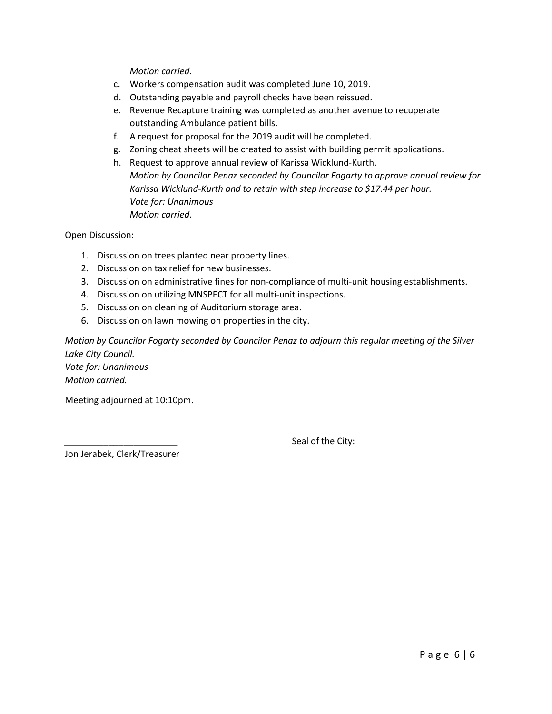*Motion carried.*

- c. Workers compensation audit was completed June 10, 2019.
- d. Outstanding payable and payroll checks have been reissued.
- e. Revenue Recapture training was completed as another avenue to recuperate outstanding Ambulance patient bills.
- f. A request for proposal for the 2019 audit will be completed.
- g. Zoning cheat sheets will be created to assist with building permit applications.
- h. Request to approve annual review of Karissa Wicklund-Kurth. *Motion by Councilor Penaz seconded by Councilor Fogarty to approve annual review for Karissa Wicklund-Kurth and to retain with step increase to \$17.44 per hour. Vote for: Unanimous Motion carried.*

Open Discussion:

- 1. Discussion on trees planted near property lines.
- 2. Discussion on tax relief for new businesses.
- 3. Discussion on administrative fines for non-compliance of multi-unit housing establishments.
- 4. Discussion on utilizing MNSPECT for all multi-unit inspections.
- 5. Discussion on cleaning of Auditorium storage area.
- 6. Discussion on lawn mowing on properties in the city.

*Motion by Councilor Fogarty seconded by Councilor Penaz to adjourn this regular meeting of the Silver Lake City Council.*

*Vote for: Unanimous Motion carried.*

Meeting adjourned at 10:10pm.

Seal of the City:

Jon Jerabek, Clerk/Treasurer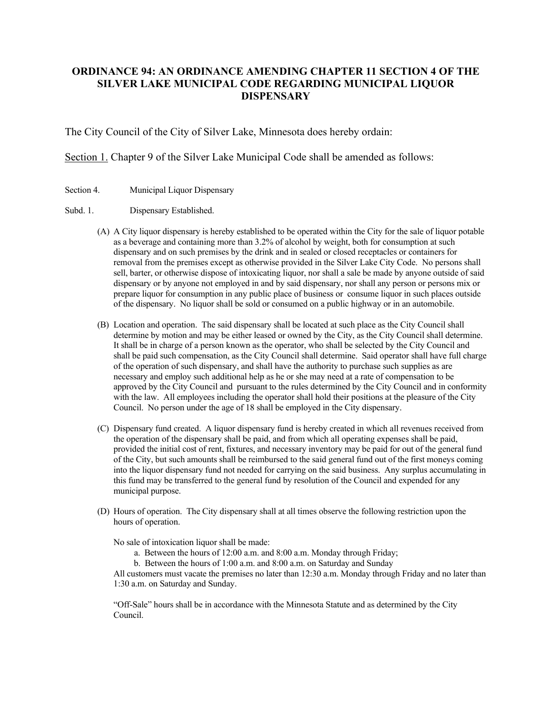## **ORDINANCE 94: AN ORDINANCE AMENDING CHAPTER 11 SECTION 4 OF THE SILVER LAKE MUNICIPAL CODE REGARDING MUNICIPAL LIQUOR DISPENSARY**

The City Council of the City of Silver Lake, Minnesota does hereby ordain:

Section 1. Chapter 9 of the Silver Lake Municipal Code shall be amended as follows:

Section 4. Municipal Liquor Dispensary

## Subd. 1. Dispensary Established.

- (A) A City liquor dispensary is hereby established to be operated within the City for the sale of liquor potable as a beverage and containing more than 3.2% of alcohol by weight, both for consumption at such dispensary and on such premises by the drink and in sealed or closed receptacles or containers for removal from the premises except as otherwise provided in the Silver Lake City Code. No persons shall sell, barter, or otherwise dispose of intoxicating liquor, nor shall a sale be made by anyone outside of said dispensary or by anyone not employed in and by said dispensary, nor shall any person or persons mix or prepare liquor for consumption in any public place of business or consume liquor in such places outside of the dispensary. No liquor shall be sold or consumed on a public highway or in an automobile.
- (B) Location and operation. The said dispensary shall be located at such place as the City Council shall determine by motion and may be either leased or owned by the City, as the City Council shall determine. It shall be in charge of a person known as the operator, who shall be selected by the City Council and shall be paid such compensation, as the City Council shall determine. Said operator shall have full charge of the operation of such dispensary, and shall have the authority to purchase such supplies as are necessary and employ such additional help as he or she may need at a rate of compensation to be approved by the City Council and pursuant to the rules determined by the City Council and in conformity with the law. All employees including the operator shall hold their positions at the pleasure of the City Council. No person under the age of 18 shall be employed in the City dispensary.
- (C) Dispensary fund created. A liquor dispensary fund is hereby created in which all revenues received from the operation of the dispensary shall be paid, and from which all operating expenses shall be paid, provided the initial cost of rent, fixtures, and necessary inventory may be paid for out of the general fund of the City, but such amounts shall be reimbursed to the said general fund out of the first moneys coming into the liquor dispensary fund not needed for carrying on the said business. Any surplus accumulating in this fund may be transferred to the general fund by resolution of the Council and expended for any municipal purpose.
- (D) Hours of operation. The City dispensary shall at all times observe the following restriction upon the hours of operation.

No sale of intoxication liquor shall be made:

- a. Between the hours of 12:00 a.m. and 8:00 a.m. Monday through Friday;
- b. Between the hours of 1:00 a.m. and 8:00 a.m. on Saturday and Sunday

All customers must vacate the premises no later than 12:30 a.m. Monday through Friday and no later than 1:30 a.m. on Saturday and Sunday.

"Off-Sale" hours shall be in accordance with the Minnesota Statute and as determined by the City Council.